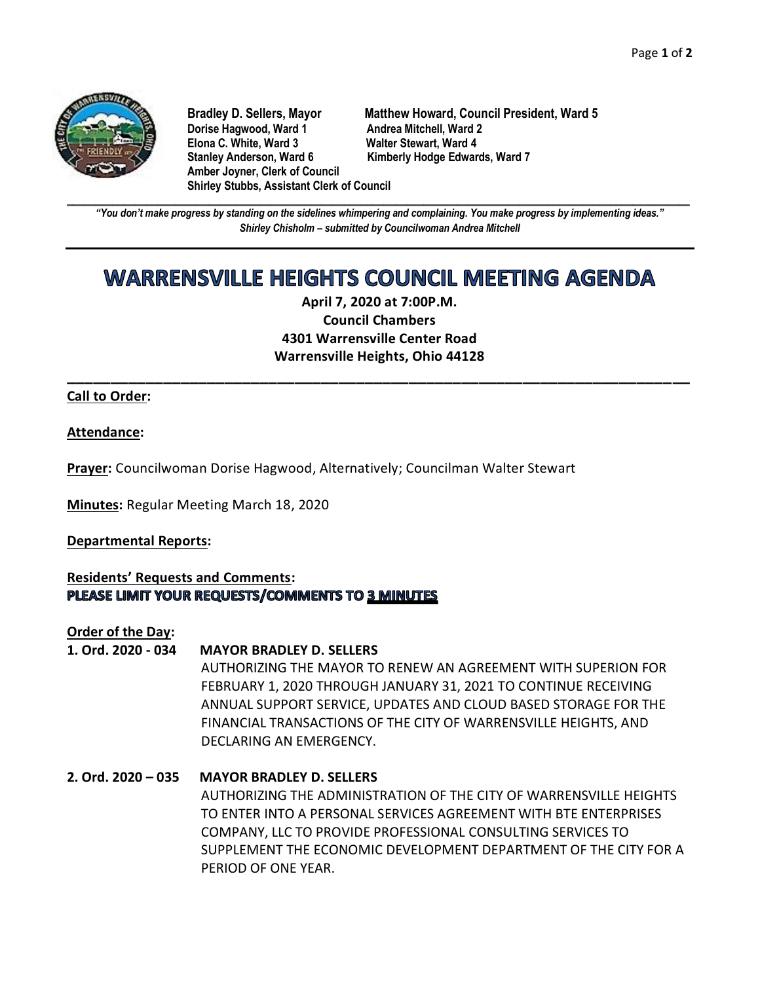

**Dorise Hagwood, Ward 1 Andrea Mitchell, Ward 2<br>11 Elona C. White. Ward 3 Andre Walter Stewart. Ward 4 Elona C. White, Ward 3** Stanley Anderson, Ward 6 Kimberly Hodge Edwards, Ward 7 **Amber Joyner, Clerk of Council Shirley Stubbs, Assistant Clerk of Council**

**Bradley D. Sellers, Mayor Matthew Howard, Council President, Ward 5**

**\_\_\_\_\_\_\_\_\_\_\_\_\_\_\_\_\_\_\_\_\_\_\_\_\_\_\_\_\_\_\_\_\_\_\_\_\_\_\_\_\_\_\_\_\_\_\_\_\_\_\_\_\_\_\_\_\_\_\_\_\_\_\_\_\_\_\_\_\_\_\_\_\_\_\_\_\_\_\_\_\_\_\_\_\_\_\_\_\_\_\_\_\_\_\_\_\_\_\_\_\_\_\_\_\_\_\_\_\_\_** *"You don't make progress by standing on the sidelines whimpering and complaining. You make progress by implementing ideas." Shirley Chisholm – submitted by Councilwoman Andrea Mitchell*

# **WARRENSVILLE HEIGHTS COUNCIL MEETING AGENDA**

**April 7, 2020 at 7:00P.M. Council Chambers 4301 Warrensville Center Road Warrensville Heights, Ohio 44128**

**\_\_\_\_\_\_\_\_\_\_\_\_\_\_\_\_\_\_\_\_\_\_\_\_\_\_\_\_\_\_\_\_\_\_\_\_\_\_\_\_\_\_\_\_\_\_\_\_\_\_\_\_\_\_\_\_\_\_\_\_\_\_\_\_\_\_\_\_\_\_\_**

**Call to Order:**

**Attendance:**

**Prayer:** Councilwoman Dorise Hagwood, Alternatively; Councilman Walter Stewart

**Minutes:** Regular Meeting March 18, 2020

**Departmental Reports:**

**Residents' Requests and Comments:** PLEASE LIMIT YOUR REQUESTS/COMMENTS TO 3 MINUTES

**Order of the Day:**

# **1. Ord. 2020 - 034 MAYOR BRADLEY D. SELLERS**

AUTHORIZING THE MAYOR TO RENEW AN AGREEMENT WITH SUPERION FOR FEBRUARY 1, 2020 THROUGH JANUARY 31, 2021 TO CONTINUE RECEIVING ANNUAL SUPPORT SERVICE, UPDATES AND CLOUD BASED STORAGE FOR THE FINANCIAL TRANSACTIONS OF THE CITY OF WARRENSVILLE HEIGHTS, AND DECLARING AN EMERGENCY.

**2. Ord. 2020 – 035 MAYOR BRADLEY D. SELLERS** AUTHORIZING THE ADMINISTRATION OF THE CITY OF WARRENSVILLE HEIGHTS TO ENTER INTO A PERSONAL SERVICES AGREEMENT WITH BTE ENTERPRISES COMPANY, LLC TO PROVIDE PROFESSIONAL CONSULTING SERVICES TO SUPPLEMENT THE ECONOMIC DEVELOPMENT DEPARTMENT OF THE CITY FOR A PERIOD OF ONE YEAR.